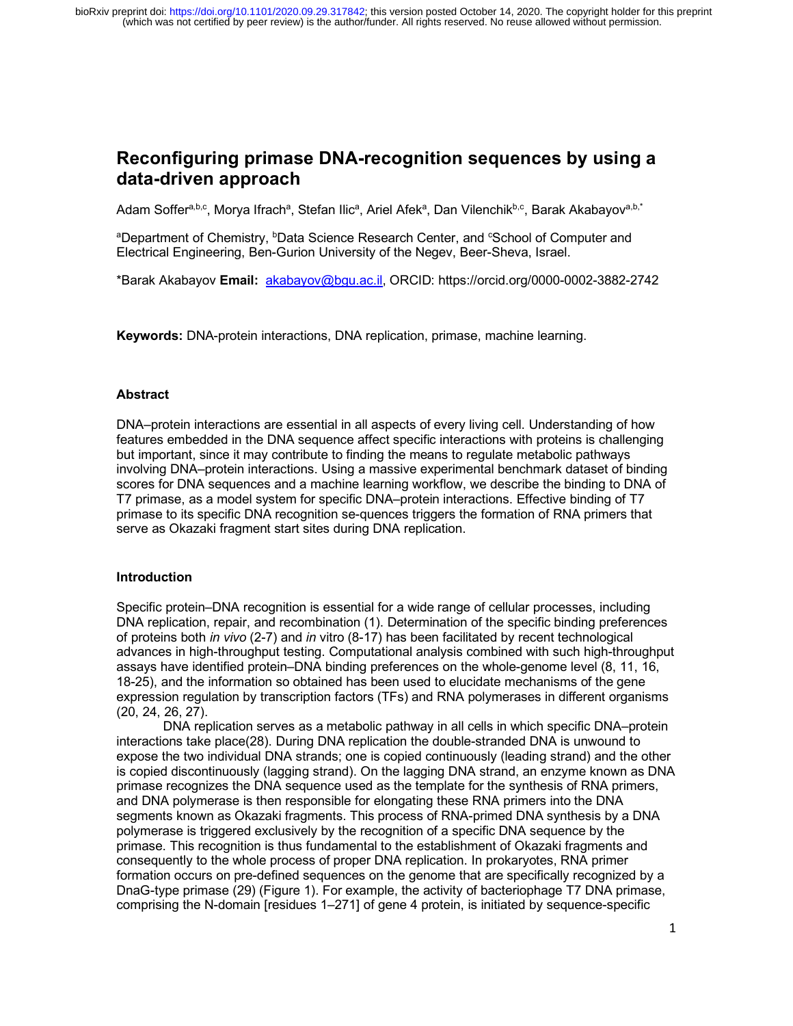# **Reconfiguring primase DNA-recognition sequences by using a data-driven approach**

Adam Soffer<sup>a,b,c</sup>, Morya Ifrach<sup>a</sup>, Stefan Ilic<sup>a</sup>, Ariel Afek<sup>a</sup>, Dan Vilenchik<sup>b,c</sup>, Barak Akabayov<sup>a,b,\*</sup>

<sup>a</sup>Department of Chemistry, <sup>b</sup>Data Science Research Center, and <sup>c</sup>School of Computer and Electrical Engineering, Ben-Gurion University of the Negev, Beer-Sheva, Israel.

\*Barak Akabayov **Email:** akabayov@bgu.ac.il, ORCID: https://orcid.org/0000-0002-3882-2742

**Keywords:** DNA-protein interactions, DNA replication, primase, machine learning.

## **Abstract**

DNA–protein interactions are essential in all aspects of every living cell. Understanding of how features embedded in the DNA sequence affect specific interactions with proteins is challenging but important, since it may contribute to finding the means to regulate metabolic pathways involving DNA–protein interactions. Using a massive experimental benchmark dataset of binding scores for DNA sequences and a machine learning workflow, we describe the binding to DNA of T7 primase, as a model system for specific DNA–protein interactions. Effective binding of T7 primase to its specific DNA recognition se-quences triggers the formation of RNA primers that serve as Okazaki fragment start sites during DNA replication.

## **Introduction**

Specific protein–DNA recognition is essential for a wide range of cellular processes, including DNA replication, repair, and recombination (1). Determination of the specific binding preferences of proteins both *in vivo* (2-7) and *in* vitro (8-17) has been facilitated by recent technological advances in high-throughput testing. Computational analysis combined with such high-throughput assays have identified protein–DNA binding preferences on the whole-genome level (8, 11, 16, 18-25), and the information so obtained has been used to elucidate mechanisms of the gene expression regulation by transcription factors (TFs) and RNA polymerases in different organisms (20, 24, 26, 27).

DNA replication serves as a metabolic pathway in all cells in which specific DNA–protein interactions take place(28). During DNA replication the double-stranded DNA is unwound to expose the two individual DNA strands; one is copied continuously (leading strand) and the other is copied discontinuously (lagging strand). On the lagging DNA strand, an enzyme known as DNA primase recognizes the DNA sequence used as the template for the synthesis of RNA primers, and DNA polymerase is then responsible for elongating these RNA primers into the DNA segments known as Okazaki fragments. This process of RNA-primed DNA synthesis by a DNA polymerase is triggered exclusively by the recognition of a specific DNA sequence by the primase. This recognition is thus fundamental to the establishment of Okazaki fragments and consequently to the whole process of proper DNA replication. In prokaryotes, RNA primer formation occurs on pre-defined sequences on the genome that are specifically recognized by a DnaG-type primase (29) (Figure 1). For example, the activity of bacteriophage T7 DNA primase, comprising the N-domain [residues 1–271] of gene 4 protein, is initiated by sequence-specific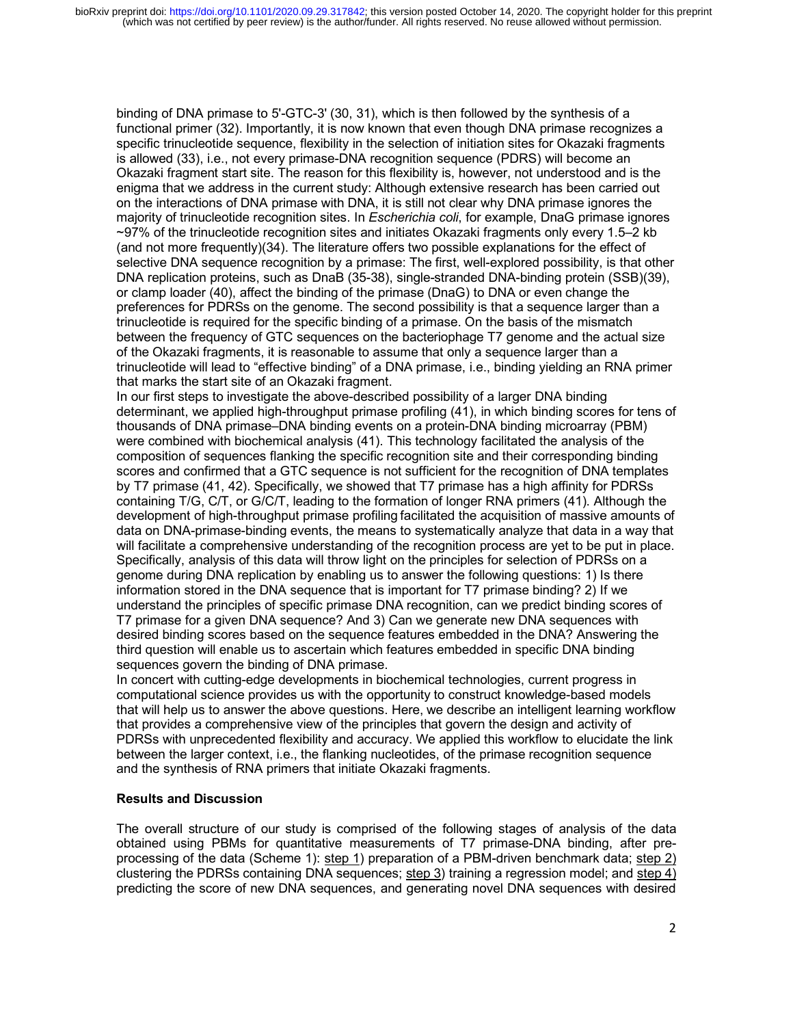binding of DNA primase to 5'-GTC-3' (30, 31), which is then followed by the synthesis of a functional primer (32). Importantly, it is now known that even though DNA primase recognizes a specific trinucleotide sequence, flexibility in the selection of initiation sites for Okazaki fragments is allowed (33), i.e., not every primase-DNA recognition sequence (PDRS) will become an Okazaki fragment start site. The reason for this flexibility is, however, not understood and is the enigma that we address in the current study: Although extensive research has been carried out on the interactions of DNA primase with DNA, it is still not clear why DNA primase ignores the majority of trinucleotide recognition sites. In *Escherichia coli*, for example, DnaG primase ignores ~97% of the trinucleotide recognition sites and initiates Okazaki fragments only every 1.5–2 kb (and not more frequently)(34). The literature offers two possible explanations for the effect of selective DNA sequence recognition by a primase: The first, well-explored possibility, is that other DNA replication proteins, such as DnaB (35-38), single-stranded DNA-binding protein (SSB)(39), or clamp loader (40), affect the binding of the primase (DnaG) to DNA or even change the preferences for PDRSs on the genome. The second possibility is that a sequence larger than a trinucleotide is required for the specific binding of a primase. On the basis of the mismatch between the frequency of GTC sequences on the bacteriophage T7 genome and the actual size of the Okazaki fragments, it is reasonable to assume that only a sequence larger than a trinucleotide will lead to "effective binding" of a DNA primase, i.e., binding yielding an RNA primer that marks the start site of an Okazaki fragment.

In our first steps to investigate the above-described possibility of a larger DNA binding determinant, we applied high-throughput primase profiling (41), in which binding scores for tens of thousands of DNA primase–DNA binding events on a protein-DNA binding microarray (PBM) were combined with biochemical analysis (41). This technology facilitated the analysis of the composition of sequences flanking the specific recognition site and their corresponding binding scores and confirmed that a GTC sequence is not sufficient for the recognition of DNA templates by T7 primase (41, 42). Specifically, we showed that T7 primase has a high affinity for PDRSs containing T/G, C/T, or G/C/T, leading to the formation of longer RNA primers (41). Although the development of high-throughput primase profiling facilitated the acquisition of massive amounts of data on DNA-primase-binding events, the means to systematically analyze that data in a way that will facilitate a comprehensive understanding of the recognition process are yet to be put in place. Specifically, analysis of this data will throw light on the principles for selection of PDRSs on a genome during DNA replication by enabling us to answer the following questions: 1) Is there information stored in the DNA sequence that is important for T7 primase binding? 2) If we understand the principles of specific primase DNA recognition, can we predict binding scores of T7 primase for a given DNA sequence? And 3) Can we generate new DNA sequences with desired binding scores based on the sequence features embedded in the DNA? Answering the third question will enable us to ascertain which features embedded in specific DNA binding sequences govern the binding of DNA primase.

In concert with cutting-edge developments in biochemical technologies, current progress in computational science provides us with the opportunity to construct knowledge-based models that will help us to answer the above questions. Here, we describe an intelligent learning workflow that provides a comprehensive view of the principles that govern the design and activity of PDRSs with unprecedented flexibility and accuracy. We applied this workflow to elucidate the link between the larger context, i.e., the flanking nucleotides, of the primase recognition sequence and the synthesis of RNA primers that initiate Okazaki fragments.

## **Results and Discussion**

The overall structure of our study is comprised of the following stages of analysis of the data obtained using PBMs for quantitative measurements of T7 primase-DNA binding, after preprocessing of the data (Scheme 1): step 1) preparation of a PBM-driven benchmark data; step 2) clustering the PDRSs containing DNA sequences; step 3) training a regression model; and step 4) predicting the score of new DNA sequences, and generating novel DNA sequences with desired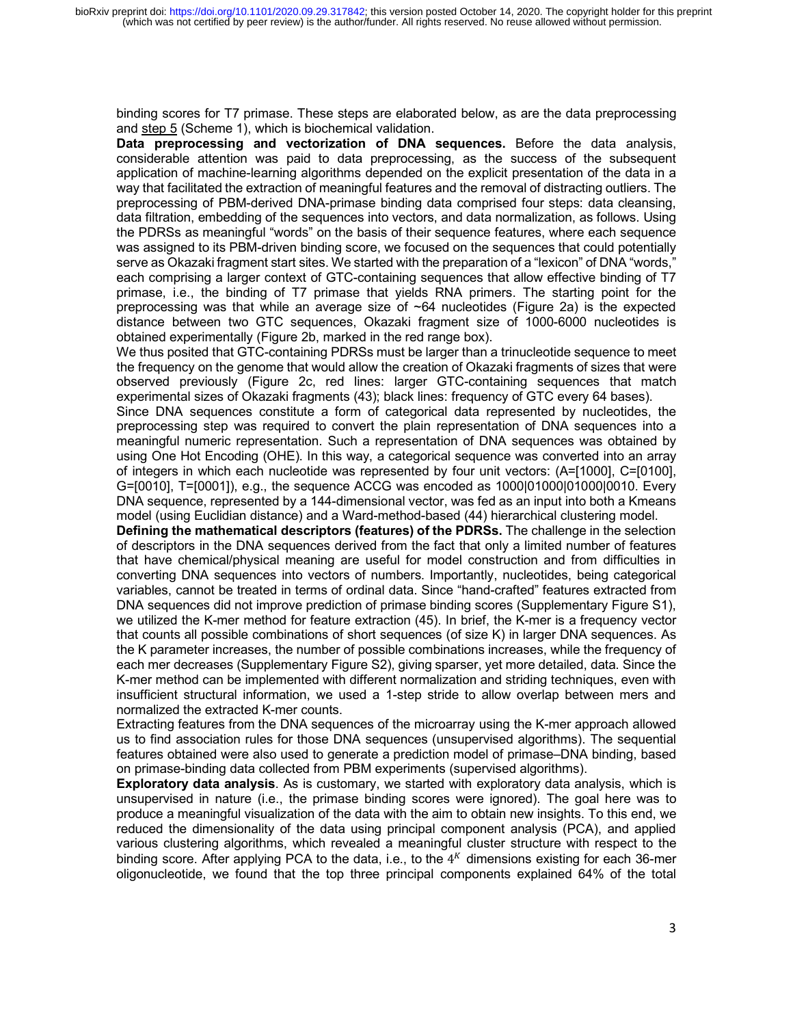binding scores for T7 primase. These steps are elaborated below, as are the data preprocessing and step 5 (Scheme 1), which is biochemical validation.

**Data preprocessing and vectorization of DNA sequences.** Before the data analysis, considerable attention was paid to data preprocessing, as the success of the subsequent application of machine-learning algorithms depended on the explicit presentation of the data in a way that facilitated the extraction of meaningful features and the removal of distracting outliers. The preprocessing of PBM-derived DNA-primase binding data comprised four steps: data cleansing, data filtration, embedding of the sequences into vectors, and data normalization, as follows. Using the PDRSs as meaningful "words" on the basis of their sequence features, where each sequence was assigned to its PBM-driven binding score, we focused on the sequences that could potentially serve as Okazaki fragment start sites. We started with the preparation of a "lexicon" of DNA "words," each comprising a larger context of GTC-containing sequences that allow effective binding of T7 primase, i.e., the binding of T7 primase that yields RNA primers. The starting point for the preprocessing was that while an average size of  $\neg 64$  nucleotides (Figure 2a) is the expected distance between two GTC sequences, Okazaki fragment size of 1000-6000 nucleotides is obtained experimentally (Figure 2b, marked in the red range box).

We thus posited that GTC-containing PDRSs must be larger than a trinucleotide sequence to meet the frequency on the genome that would allow the creation of Okazaki fragments of sizes that were observed previously (Figure 2c, red lines: larger GTC-containing sequences that match experimental sizes of Okazaki fragments (43); black lines: frequency of GTC every 64 bases).

Since DNA sequences constitute a form of categorical data represented by nucleotides, the preprocessing step was required to convert the plain representation of DNA sequences into a meaningful numeric representation. Such a representation of DNA sequences was obtained by using One Hot Encoding (OHE). In this way, a categorical sequence was converted into an array of integers in which each nucleotide was represented by four unit vectors: (A=[1000], C=[0100], G=[0010], T=[0001]), e.g., the sequence ACCG was encoded as 1000|01000|01000|0010. Every DNA sequence, represented by a 144-dimensional vector, was fed as an input into both a Kmeans model (using Euclidian distance) and a Ward-method-based (44) hierarchical clustering model.

**Defining the mathematical descriptors (features) of the PDRSs.** The challenge in the selection of descriptors in the DNA sequences derived from the fact that only a limited number of features that have chemical/physical meaning are useful for model construction and from difficulties in converting DNA sequences into vectors of numbers. Importantly, nucleotides, being categorical variables, cannot be treated in terms of ordinal data. Since "hand-crafted" features extracted from DNA sequences did not improve prediction of primase binding scores (Supplementary Figure S1), we utilized the K-mer method for feature extraction (45). In brief, the K-mer is a frequency vector that counts all possible combinations of short sequences (of size K) in larger DNA sequences. As the K parameter increases, the number of possible combinations increases, while the frequency of each mer decreases (Supplementary Figure S2), giving sparser, yet more detailed, data. Since the K-mer method can be implemented with different normalization and striding techniques, even with insufficient structural information, we used a 1-step stride to allow overlap between mers and normalized the extracted K-mer counts.

Extracting features from the DNA sequences of the microarray using the K-mer approach allowed us to find association rules for those DNA sequences (unsupervised algorithms). The sequential features obtained were also used to generate a prediction model of primase–DNA binding, based on primase-binding data collected from PBM experiments (supervised algorithms).

**Exploratory data analysis**. As is customary, we started with exploratory data analysis, which is unsupervised in nature (i.e., the primase binding scores were ignored). The goal here was to produce a meaningful visualization of the data with the aim to obtain new insights. To this end, we reduced the dimensionality of the data using principal component analysis (PCA), and applied various clustering algorithms, which revealed a meaningful cluster structure with respect to the binding score. After applying PCA to the data, i.e., to the  $4<sup>K</sup>$  dimensions existing for each 36-mer oligonucleotide, we found that the top three principal components explained 64% of the total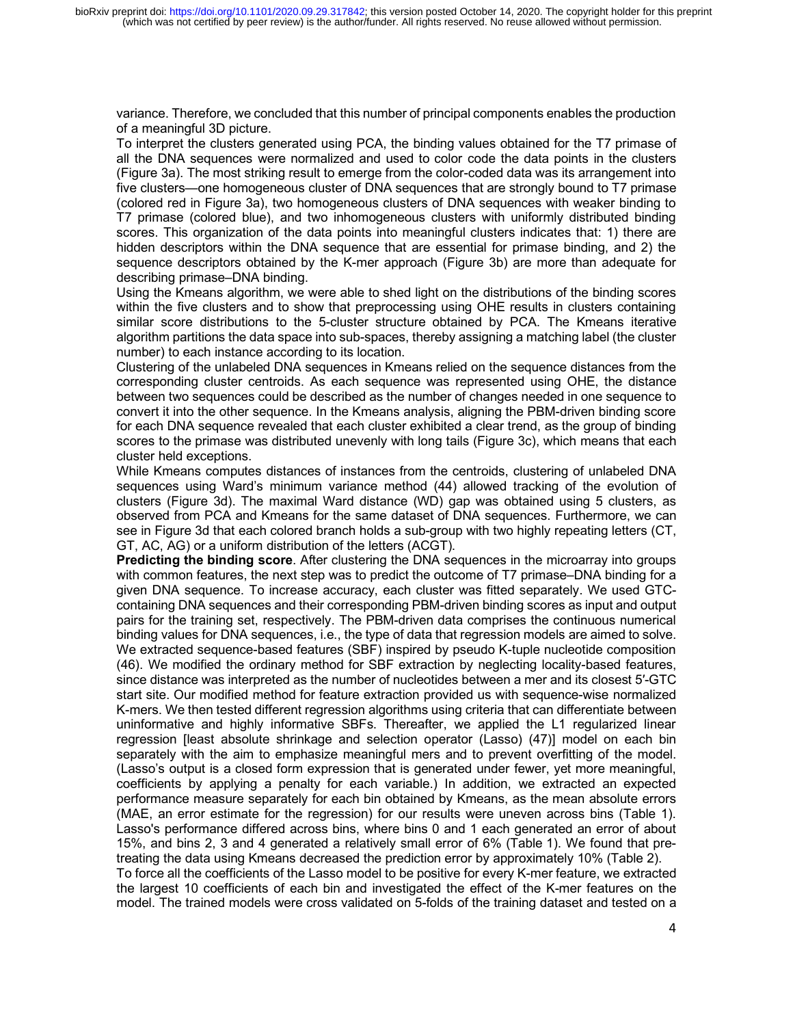variance. Therefore, we concluded that this number of principal components enables the production of a meaningful 3D picture.

To interpret the clusters generated using PCA, the binding values obtained for the T7 primase of all the DNA sequences were normalized and used to color code the data points in the clusters (Figure 3a). The most striking result to emerge from the color-coded data was its arrangement into five clusters—one homogeneous cluster of DNA sequences that are strongly bound to T7 primase (colored red in Figure 3a), two homogeneous clusters of DNA sequences with weaker binding to T7 primase (colored blue), and two inhomogeneous clusters with uniformly distributed binding scores. This organization of the data points into meaningful clusters indicates that: 1) there are hidden descriptors within the DNA sequence that are essential for primase binding, and 2) the sequence descriptors obtained by the K-mer approach (Figure 3b) are more than adequate for describing primase–DNA binding.

Using the Kmeans algorithm, we were able to shed light on the distributions of the binding scores within the five clusters and to show that preprocessing using OHE results in clusters containing similar score distributions to the 5-cluster structure obtained by PCA. The Kmeans iterative algorithm partitions the data space into sub-spaces, thereby assigning a matching label (the cluster number) to each instance according to its location.

Clustering of the unlabeled DNA sequences in Kmeans relied on the sequence distances from the corresponding cluster centroids. As each sequence was represented using OHE, the distance between two sequences could be described as the number of changes needed in one sequence to convert it into the other sequence. In the Kmeans analysis, aligning the PBM-driven binding score for each DNA sequence revealed that each cluster exhibited a clear trend, as the group of binding scores to the primase was distributed unevenly with long tails (Figure 3c), which means that each cluster held exceptions.

While Kmeans computes distances of instances from the centroids, clustering of unlabeled DNA sequences using Ward's minimum variance method (44) allowed tracking of the evolution of clusters (Figure 3d). The maximal Ward distance (WD) gap was obtained using 5 clusters, as observed from PCA and Kmeans for the same dataset of DNA sequences. Furthermore, we can see in Figure 3d that each colored branch holds a sub-group with two highly repeating letters (CT, GT, AC, AG) or a uniform distribution of the letters (ACGT).

**Predicting the binding score**. After clustering the DNA sequences in the microarray into groups with common features, the next step was to predict the outcome of T7 primase–DNA binding for a given DNA sequence. To increase accuracy, each cluster was fitted separately. We used GTCcontaining DNA sequences and their corresponding PBM-driven binding scores as input and output pairs for the training set, respectively. The PBM-driven data comprises the continuous numerical binding values for DNA sequences, i.e., the type of data that regression models are aimed to solve. We extracted sequence-based features (SBF) inspired by pseudo K-tuple nucleotide composition (46). We modified the ordinary method for SBF extraction by neglecting locality-based features, since distance was interpreted as the number of nucleotides between a mer and its closest 5′-GTC start site. Our modified method for feature extraction provided us with sequence-wise normalized K-mers. We then tested different regression algorithms using criteria that can differentiate between uninformative and highly informative SBFs. Thereafter, we applied the L1 regularized linear regression [least absolute shrinkage and selection operator (Lasso) (47)] model on each bin separately with the aim to emphasize meaningful mers and to prevent overfitting of the model. (Lasso's output is a closed form expression that is generated under fewer, yet more meaningful, coefficients by applying a penalty for each variable.) In addition, we extracted an expected performance measure separately for each bin obtained by Kmeans, as the mean absolute errors (MAE, an error estimate for the regression) for our results were uneven across bins (Table 1). Lasso's performance differed across bins, where bins 0 and 1 each generated an error of about 15%, and bins 2, 3 and 4 generated a relatively small error of 6% (Table 1). We found that pretreating the data using Kmeans decreased the prediction error by approximately 10% (Table 2). To force all the coefficients of the Lasso model to be positive for every K-mer feature, we extracted

the largest 10 coefficients of each bin and investigated the effect of the K-mer features on the model. The trained models were cross validated on 5-folds of the training dataset and tested on a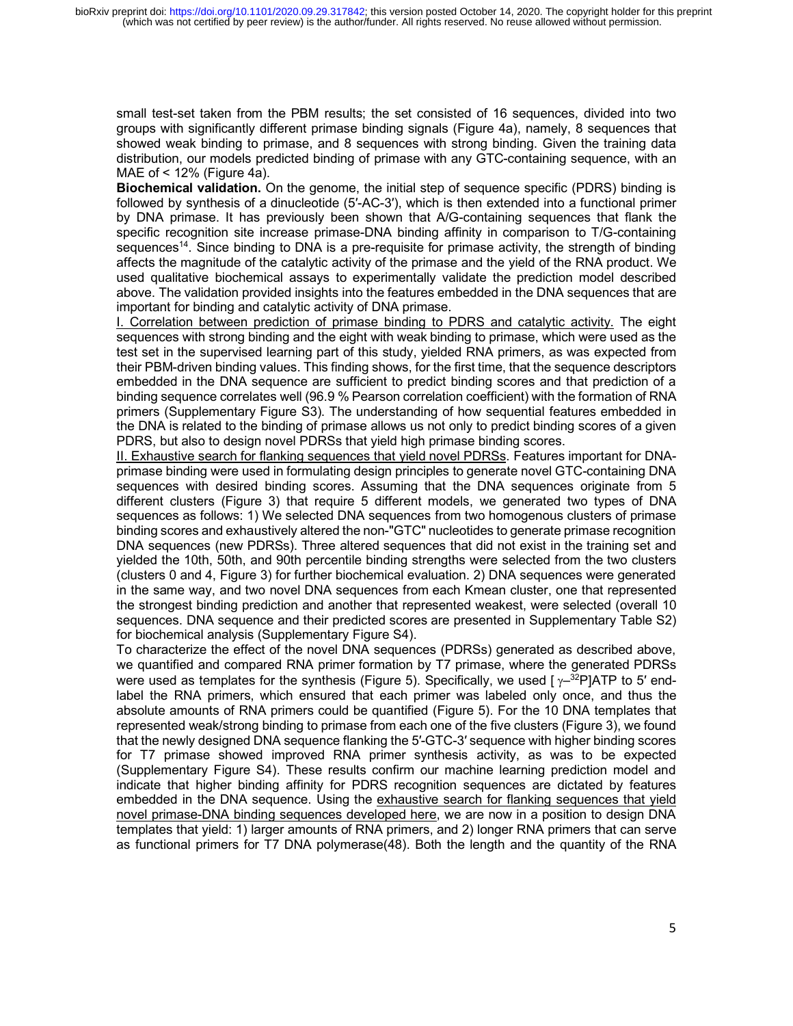small test-set taken from the PBM results; the set consisted of 16 sequences, divided into two groups with significantly different primase binding signals (Figure 4a), namely, 8 sequences that showed weak binding to primase, and 8 sequences with strong binding. Given the training data distribution, our models predicted binding of primase with any GTC-containing sequence, with an MAE of < 12% (Figure 4a).

**Biochemical validation.** On the genome, the initial step of sequence specific (PDRS) binding is followed by synthesis of a dinucleotide (5′-AC-3′), which is then extended into a functional primer by DNA primase. It has previously been shown that A/G-containing sequences that flank the specific recognition site increase primase-DNA binding affinity in comparison to T/G-containing sequences<sup>14</sup>. Since binding to DNA is a pre-requisite for primase activity, the strength of binding affects the magnitude of the catalytic activity of the primase and the yield of the RNA product. We used qualitative biochemical assays to experimentally validate the prediction model described above. The validation provided insights into the features embedded in the DNA sequences that are important for binding and catalytic activity of DNA primase.

I. Correlation between prediction of primase binding to PDRS and catalytic activity. The eight sequences with strong binding and the eight with weak binding to primase, which were used as the test set in the supervised learning part of this study, yielded RNA primers, as was expected from their PBM-driven binding values. This finding shows, for the first time, that the sequence descriptors embedded in the DNA sequence are sufficient to predict binding scores and that prediction of a binding sequence correlates well (96.9 % Pearson correlation coefficient) with the formation of RNA primers (Supplementary Figure S3). The understanding of how sequential features embedded in the DNA is related to the binding of primase allows us not only to predict binding scores of a given PDRS, but also to design novel PDRSs that yield high primase binding scores.

II. Exhaustive search for flanking sequences that yield novel PDRSs. Features important for DNAprimase binding were used in formulating design principles to generate novel GTC-containing DNA sequences with desired binding scores. Assuming that the DNA sequences originate from 5 different clusters (Figure 3) that require 5 different models, we generated two types of DNA sequences as follows: 1) We selected DNA sequences from two homogenous clusters of primase binding scores and exhaustively altered the non-"GTC" nucleotides to generate primase recognition DNA sequences (new PDRSs). Three altered sequences that did not exist in the training set and yielded the 10th, 50th, and 90th percentile binding strengths were selected from the two clusters (clusters 0 and 4, Figure 3) for further biochemical evaluation. 2) DNA sequences were generated in the same way, and two novel DNA sequences from each Kmean cluster, one that represented the strongest binding prediction and another that represented weakest, were selected (overall 10 sequences. DNA sequence and their predicted scores are presented in Supplementary Table S2) for biochemical analysis (Supplementary Figure S4).

To characterize the effect of the novel DNA sequences (PDRSs) generated as described above, we quantified and compared RNA primer formation by T7 primase, where the generated PDRSs were used as templates for the synthesis (Figure 5). Specifically, we used  $\lceil v^{-32}P\lceil ATP \rceil$  to 5' endlabel the RNA primers, which ensured that each primer was labeled only once, and thus the absolute amounts of RNA primers could be quantified (Figure 5). For the 10 DNA templates that represented weak/strong binding to primase from each one of the five clusters (Figure 3), we found that the newly designed DNA sequence flanking the 5′-GTC-3′ sequence with higher binding scores for T7 primase showed improved RNA primer synthesis activity, as was to be expected (Supplementary Figure S4). These results confirm our machine learning prediction model and indicate that higher binding affinity for PDRS recognition sequences are dictated by features embedded in the DNA sequence. Using the exhaustive search for flanking sequences that yield novel primase-DNA binding sequences developed here, we are now in a position to design DNA templates that yield: 1) larger amounts of RNA primers, and 2) longer RNA primers that can serve as functional primers for T7 DNA polymerase(48). Both the length and the quantity of the RNA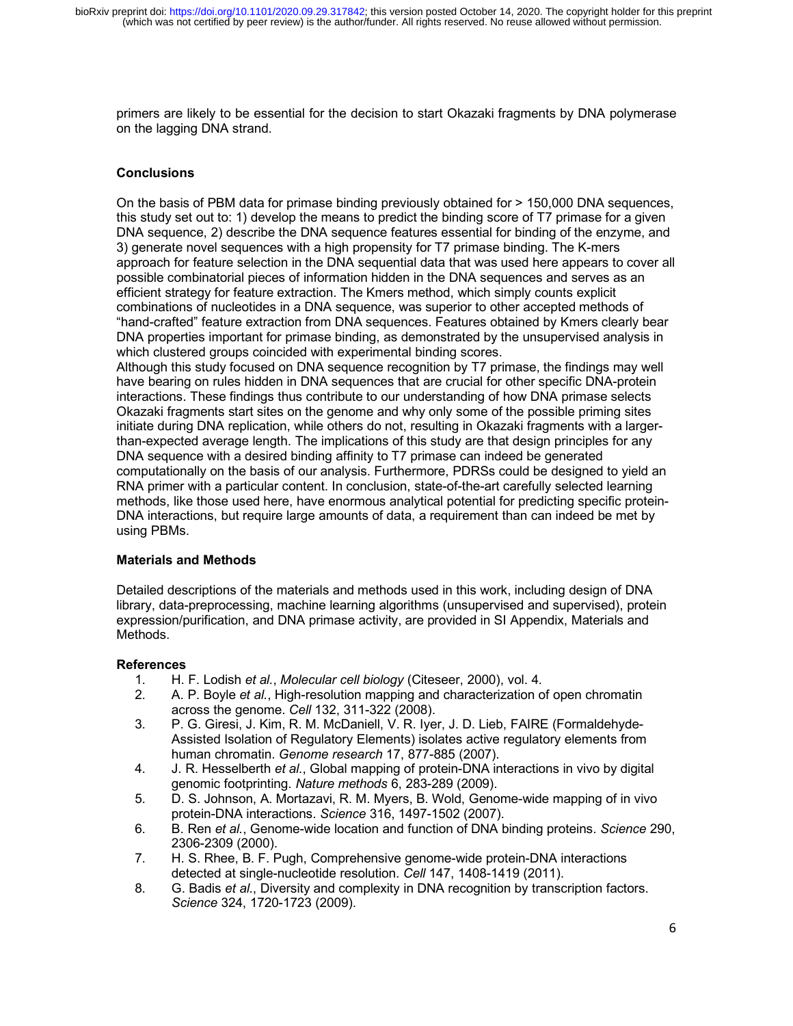primers are likely to be essential for the decision to start Okazaki fragments by DNA polymerase on the lagging DNA strand.

## **Conclusions**

On the basis of PBM data for primase binding previously obtained for > 150,000 DNA sequences, this study set out to: 1) develop the means to predict the binding score of T7 primase for a given DNA sequence, 2) describe the DNA sequence features essential for binding of the enzyme, and 3) generate novel sequences with a high propensity for T7 primase binding. The K-mers approach for feature selection in the DNA sequential data that was used here appears to cover all possible combinatorial pieces of information hidden in the DNA sequences and serves as an efficient strategy for feature extraction. The Kmers method, which simply counts explicit combinations of nucleotides in a DNA sequence, was superior to other accepted methods of "hand-crafted" feature extraction from DNA sequences. Features obtained by Kmers clearly bear DNA properties important for primase binding, as demonstrated by the unsupervised analysis in which clustered groups coincided with experimental binding scores.

Although this study focused on DNA sequence recognition by T7 primase, the findings may well have bearing on rules hidden in DNA sequences that are crucial for other specific DNA-protein interactions. These findings thus contribute to our understanding of how DNA primase selects Okazaki fragments start sites on the genome and why only some of the possible priming sites initiate during DNA replication, while others do not, resulting in Okazaki fragments with a largerthan-expected average length. The implications of this study are that design principles for any DNA sequence with a desired binding affinity to T7 primase can indeed be generated computationally on the basis of our analysis. Furthermore, PDRSs could be designed to yield an RNA primer with a particular content. In conclusion, state-of-the-art carefully selected learning methods, like those used here, have enormous analytical potential for predicting specific protein-DNA interactions, but require large amounts of data, a requirement than can indeed be met by using PBMs.

## **Materials and Methods**

Detailed descriptions of the materials and methods used in this work, including design of DNA library, data-preprocessing, machine learning algorithms (unsupervised and supervised), protein expression/purification, and DNA primase activity, are provided in SI Appendix, Materials and Methods.

## **References**

- 1. H. F. Lodish *et al.*, *Molecular cell biology* (Citeseer, 2000), vol. 4.
- 2. A. P. Boyle *et al.*, High-resolution mapping and characterization of open chromatin across the genome. *Cell* 132, 311-322 (2008).
- 3. P. G. Giresi, J. Kim, R. M. McDaniell, V. R. Iyer, J. D. Lieb, FAIRE (Formaldehyde-Assisted Isolation of Regulatory Elements) isolates active regulatory elements from human chromatin. *Genome research* 17, 877-885 (2007).
- 4. J. R. Hesselberth *et al.*, Global mapping of protein-DNA interactions in vivo by digital genomic footprinting. *Nature methods* 6, 283-289 (2009).
- 5. D. S. Johnson, A. Mortazavi, R. M. Myers, B. Wold, Genome-wide mapping of in vivo protein-DNA interactions. *Science* 316, 1497-1502 (2007).
- 6. B. Ren *et al.*, Genome-wide location and function of DNA binding proteins. *Science* 290, 2306-2309 (2000).
- 7. H. S. Rhee, B. F. Pugh, Comprehensive genome-wide protein-DNA interactions detected at single-nucleotide resolution. *Cell* 147, 1408-1419 (2011).
- 8. G. Badis *et al.*, Diversity and complexity in DNA recognition by transcription factors. *Science* 324, 1720-1723 (2009).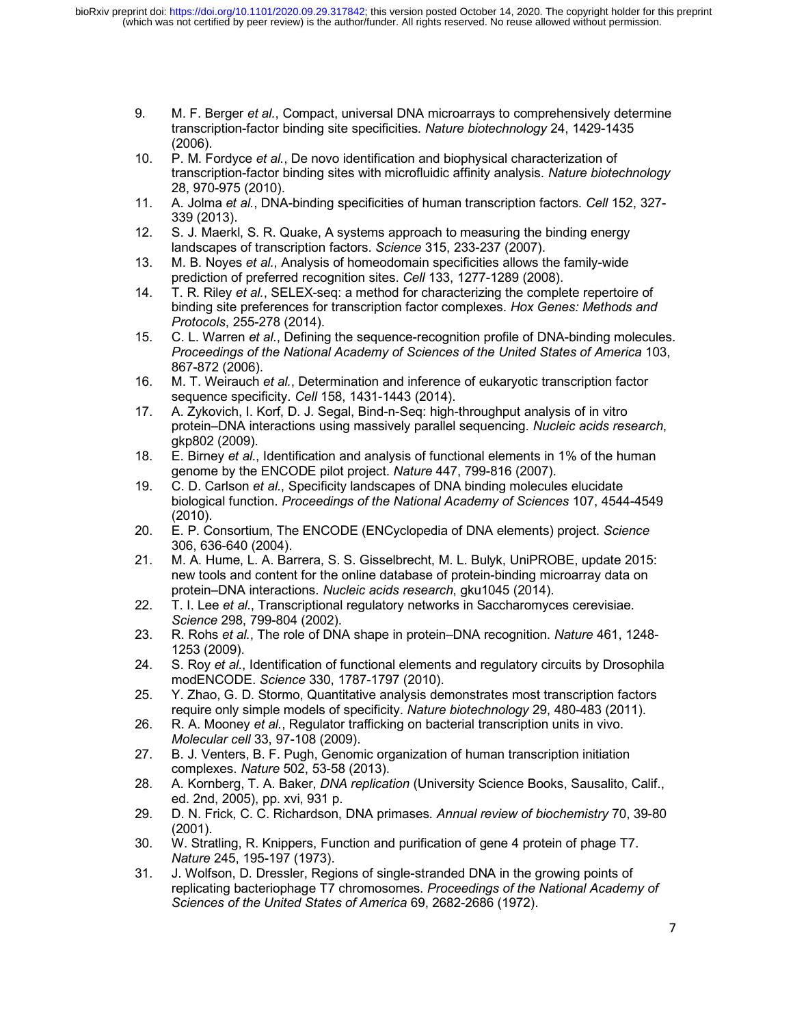- 9. M. F. Berger *et al.*, Compact, universal DNA microarrays to comprehensively determine transcription-factor binding site specificities. *Nature biotechnology* 24, 1429-1435 (2006).
- 10. P. M. Fordyce *et al.*, De novo identification and biophysical characterization of transcription-factor binding sites with microfluidic affinity analysis. *Nature biotechnology* 28, 970-975 (2010).
- 11. A. Jolma *et al.*, DNA-binding specificities of human transcription factors. *Cell* 152, 327- 339 (2013).
- 12. S. J. Maerkl, S. R. Quake, A systems approach to measuring the binding energy landscapes of transcription factors. *Science* 315, 233-237 (2007).
- 13. M. B. Noyes *et al.*, Analysis of homeodomain specificities allows the family-wide prediction of preferred recognition sites. *Cell* 133, 1277-1289 (2008).
- 14. T. R. Riley *et al.*, SELEX-seq: a method for characterizing the complete repertoire of binding site preferences for transcription factor complexes. *Hox Genes: Methods and Protocols*, 255-278 (2014).
- 15. C. L. Warren *et al.*, Defining the sequence-recognition profile of DNA-binding molecules. *Proceedings of the National Academy of Sciences of the United States of America* 103, 867-872 (2006).
- 16. M. T. Weirauch *et al.*, Determination and inference of eukaryotic transcription factor sequence specificity. *Cell* 158, 1431-1443 (2014).
- 17. A. Zykovich, I. Korf, D. J. Segal, Bind-n-Seq: high-throughput analysis of in vitro protein–DNA interactions using massively parallel sequencing. *Nucleic acids research*, gkp802 (2009).
- 18. E. Birney *et al.*, Identification and analysis of functional elements in 1% of the human genome by the ENCODE pilot project. *Nature* 447, 799-816 (2007).
- 19. C. D. Carlson *et al.*, Specificity landscapes of DNA binding molecules elucidate biological function. *Proceedings of the National Academy of Sciences* 107, 4544-4549 (2010).
- 20. E. P. Consortium, The ENCODE (ENCyclopedia of DNA elements) project. *Science* 306, 636-640 (2004).
- 21. M. A. Hume, L. A. Barrera, S. S. Gisselbrecht, M. L. Bulyk, UniPROBE, update 2015: new tools and content for the online database of protein-binding microarray data on protein–DNA interactions. *Nucleic acids research*, gku1045 (2014).
- 22. T. I. Lee *et al.*, Transcriptional regulatory networks in Saccharomyces cerevisiae. *Science* 298, 799-804 (2002).
- 23. R. Rohs *et al.*, The role of DNA shape in protein–DNA recognition. *Nature* 461, 1248- 1253 (2009).
- 24. S. Roy *et al.*, Identification of functional elements and regulatory circuits by Drosophila modENCODE. *Science* 330, 1787-1797 (2010).
- 25. Y. Zhao, G. D. Stormo, Quantitative analysis demonstrates most transcription factors require only simple models of specificity. *Nature biotechnology* 29, 480-483 (2011).
- 26. R. A. Mooney *et al.*, Regulator trafficking on bacterial transcription units in vivo. *Molecular cell* 33, 97-108 (2009).
- 27. B. J. Venters, B. F. Pugh, Genomic organization of human transcription initiation complexes. *Nature* 502, 53-58 (2013).
- 28. A. Kornberg, T. A. Baker, *DNA replication* (University Science Books, Sausalito, Calif., ed. 2nd, 2005), pp. xvi, 931 p.
- 29. D. N. Frick, C. C. Richardson, DNA primases. *Annual review of biochemistry* 70, 39-80 (2001).
- 30. W. Stratling, R. Knippers, Function and purification of gene 4 protein of phage T7. *Nature* 245, 195-197 (1973).
- 31. J. Wolfson, D. Dressler, Regions of single-stranded DNA in the growing points of replicating bacteriophage T7 chromosomes. *Proceedings of the National Academy of Sciences of the United States of America* 69, 2682-2686 (1972).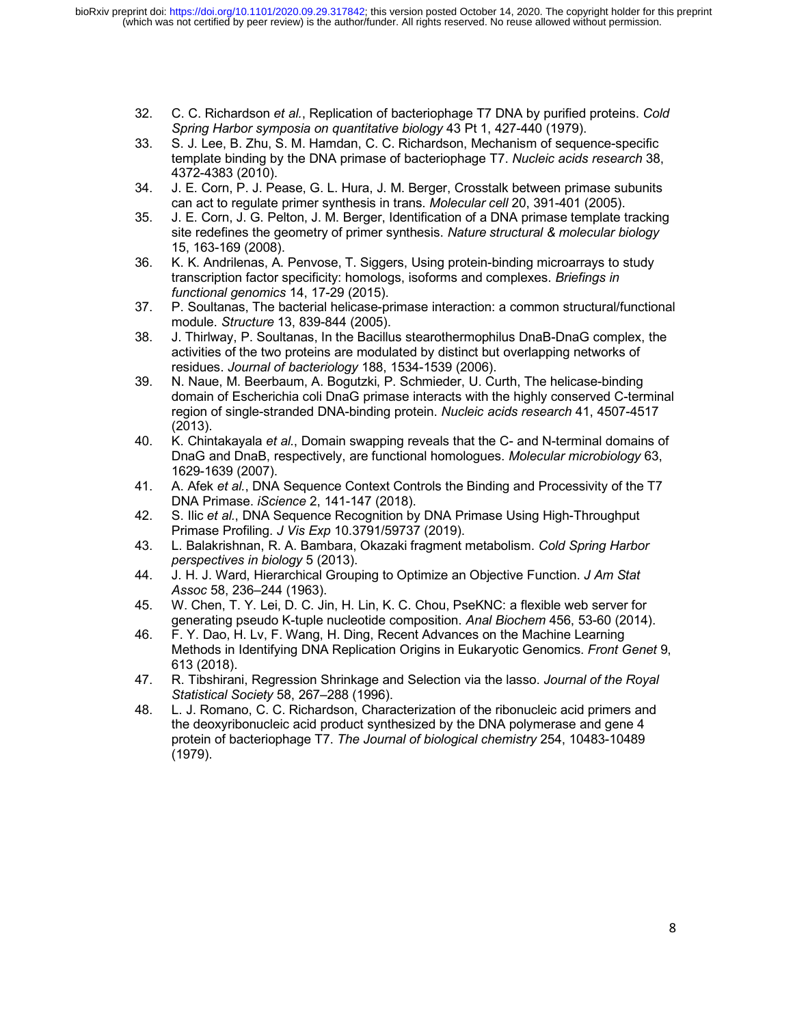- 32. C. C. Richardson *et al.*, Replication of bacteriophage T7 DNA by purified proteins. *Cold Spring Harbor symposia on quantitative biology* 43 Pt 1, 427-440 (1979).
- 33. S. J. Lee, B. Zhu, S. M. Hamdan, C. C. Richardson, Mechanism of sequence-specific template binding by the DNA primase of bacteriophage T7. *Nucleic acids research* 38, 4372-4383 (2010).
- 34. J. E. Corn, P. J. Pease, G. L. Hura, J. M. Berger, Crosstalk between primase subunits can act to regulate primer synthesis in trans. *Molecular cell* 20, 391-401 (2005).
- 35. J. E. Corn, J. G. Pelton, J. M. Berger, Identification of a DNA primase template tracking site redefines the geometry of primer synthesis. *Nature structural & molecular biology* 15, 163-169 (2008).
- 36. K. K. Andrilenas, A. Penvose, T. Siggers, Using protein-binding microarrays to study transcription factor specificity: homologs, isoforms and complexes. *Briefings in functional genomics* 14, 17-29 (2015).
- 37. P. Soultanas, The bacterial helicase-primase interaction: a common structural/functional module. *Structure* 13, 839-844 (2005).
- 38. J. Thirlway, P. Soultanas, In the Bacillus stearothermophilus DnaB-DnaG complex, the activities of the two proteins are modulated by distinct but overlapping networks of residues. *Journal of bacteriology* 188, 1534-1539 (2006).
- 39. N. Naue, M. Beerbaum, A. Bogutzki, P. Schmieder, U. Curth, The helicase-binding domain of Escherichia coli DnaG primase interacts with the highly conserved C-terminal region of single-stranded DNA-binding protein. *Nucleic acids research* 41, 4507-4517 (2013).
- 40. K. Chintakayala *et al.*, Domain swapping reveals that the C- and N-terminal domains of DnaG and DnaB, respectively, are functional homologues. *Molecular microbiology* 63, 1629-1639 (2007).
- 41. A. Afek *et al.*, DNA Sequence Context Controls the Binding and Processivity of the T7 DNA Primase. *iScience* 2, 141-147 (2018).
- 42. S. Ilic *et al.*, DNA Sequence Recognition by DNA Primase Using High-Throughput Primase Profiling. *J Vis Exp* 10.3791/59737 (2019).
- 43. L. Balakrishnan, R. A. Bambara, Okazaki fragment metabolism. *Cold Spring Harbor perspectives in biology* 5 (2013).
- 44. J. H. J. Ward, Hierarchical Grouping to Optimize an Objective Function. *J Am Stat Assoc* 58, 236–244 (1963).
- 45. W. Chen, T. Y. Lei, D. C. Jin, H. Lin, K. C. Chou, PseKNC: a flexible web server for generating pseudo K-tuple nucleotide composition. *Anal Biochem* 456, 53-60 (2014).
- 46. F. Y. Dao, H. Lv, F. Wang, H. Ding, Recent Advances on the Machine Learning Methods in Identifying DNA Replication Origins in Eukaryotic Genomics. *Front Genet* 9, 613 (2018).
- 47. R. Tibshirani, Regression Shrinkage and Selection via the lasso. *Journal of the Royal Statistical Society* 58, 267–288 (1996).
- 48. L. J. Romano, C. C. Richardson, Characterization of the ribonucleic acid primers and the deoxyribonucleic acid product synthesized by the DNA polymerase and gene 4 protein of bacteriophage T7. *The Journal of biological chemistry* 254, 10483-10489 (1979).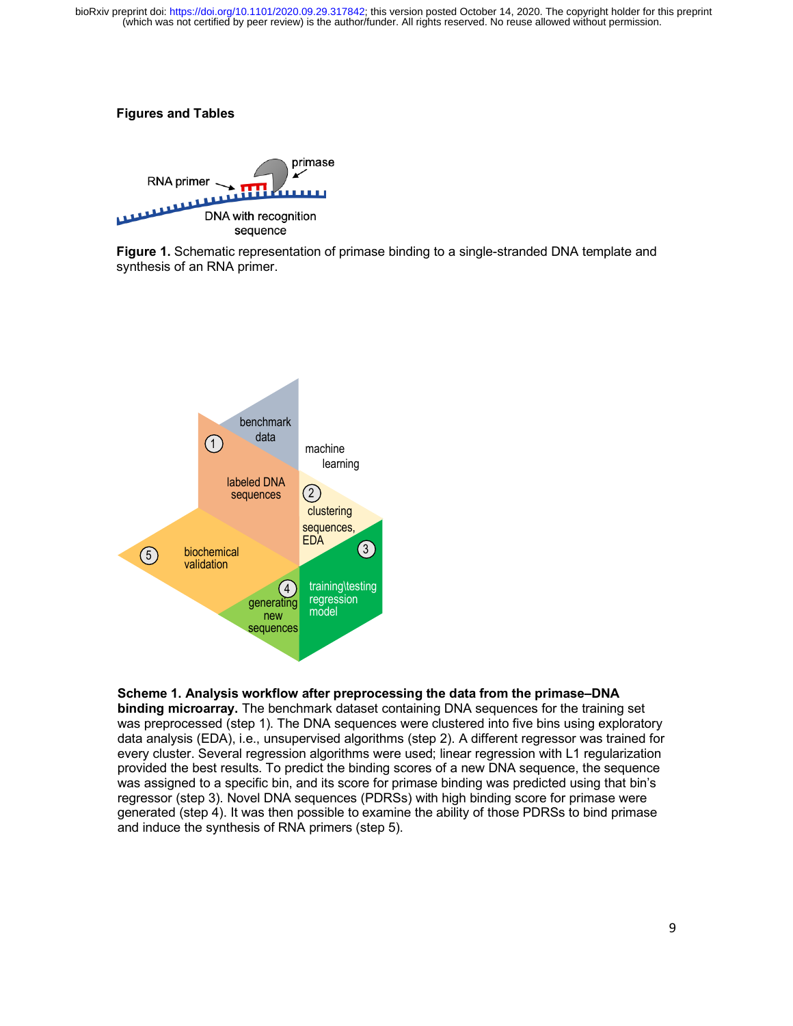## **Figures and Tables**



**Figure 1.** Schematic representation of primase binding to a single-stranded DNA template and synthesis of an RNA primer.



#### **Scheme 1. Analysis workflow after preprocessing the data from the primase–DNA**

**binding microarray.** The benchmark dataset containing DNA sequences for the training set was preprocessed (step 1). The DNA sequences were clustered into five bins using exploratory data analysis (EDA), i.e., unsupervised algorithms (step 2). A different regressor was trained for every cluster. Several regression algorithms were used; linear regression with L1 regularization provided the best results. To predict the binding scores of a new DNA sequence, the sequence was assigned to a specific bin, and its score for primase binding was predicted using that bin's regressor (step 3). Novel DNA sequences (PDRSs) with high binding score for primase were generated (step 4). It was then possible to examine the ability of those PDRSs to bind primase and induce the synthesis of RNA primers (step 5).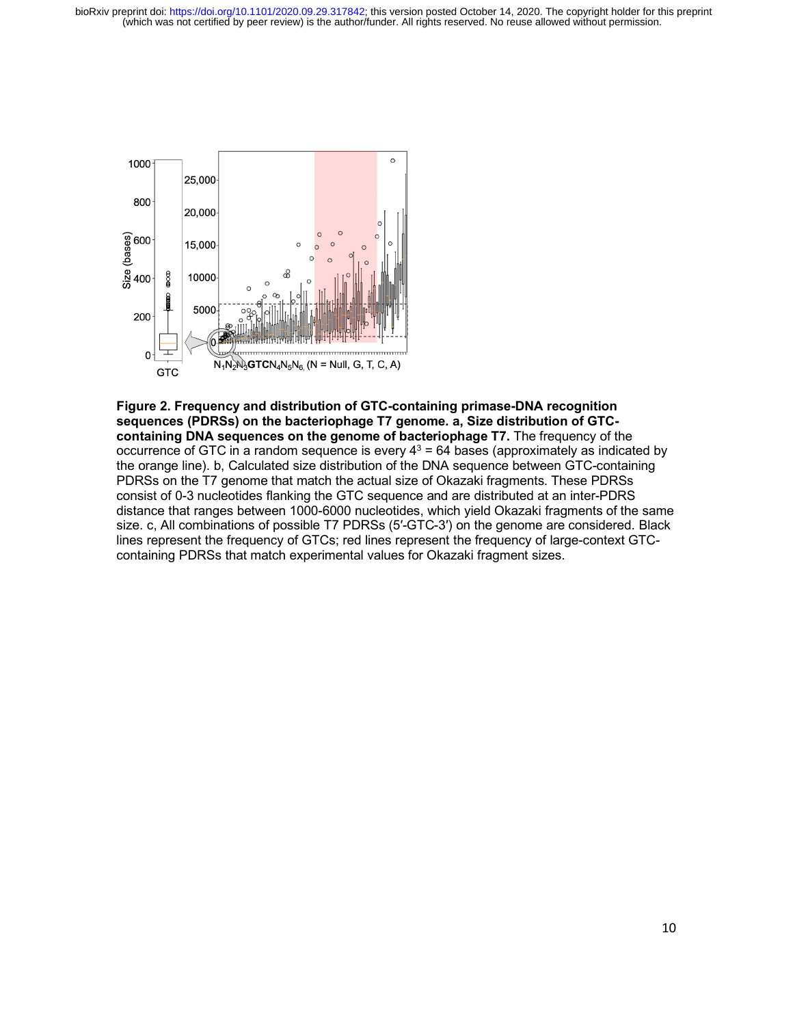

**Figure 2. Frequency and distribution of GTC-containing primase-DNA recognition sequences (PDRSs) on the bacteriophage T7 genome. a, Size distribution of GTCcontaining DNA sequences on the genome of bacteriophage T7.** The frequency of the occurrence of GTC in a random sequence is every  $4^3$  = 64 bases (approximately as indicated by the orange line). b, Calculated size distribution of the DNA sequence between GTC-containing PDRSs on the T7 genome that match the actual size of Okazaki fragments. These PDRSs consist of 0-3 nucleotides flanking the GTC sequence and are distributed at an inter-PDRS distance that ranges between 1000-6000 nucleotides, which yield Okazaki fragments of the same size. c, All combinations of possible T7 PDRSs (5′-GTC-3′) on the genome are considered. Black lines represent the frequency of GTCs; red lines represent the frequency of large-context GTCcontaining PDRSs that match experimental values for Okazaki fragment sizes.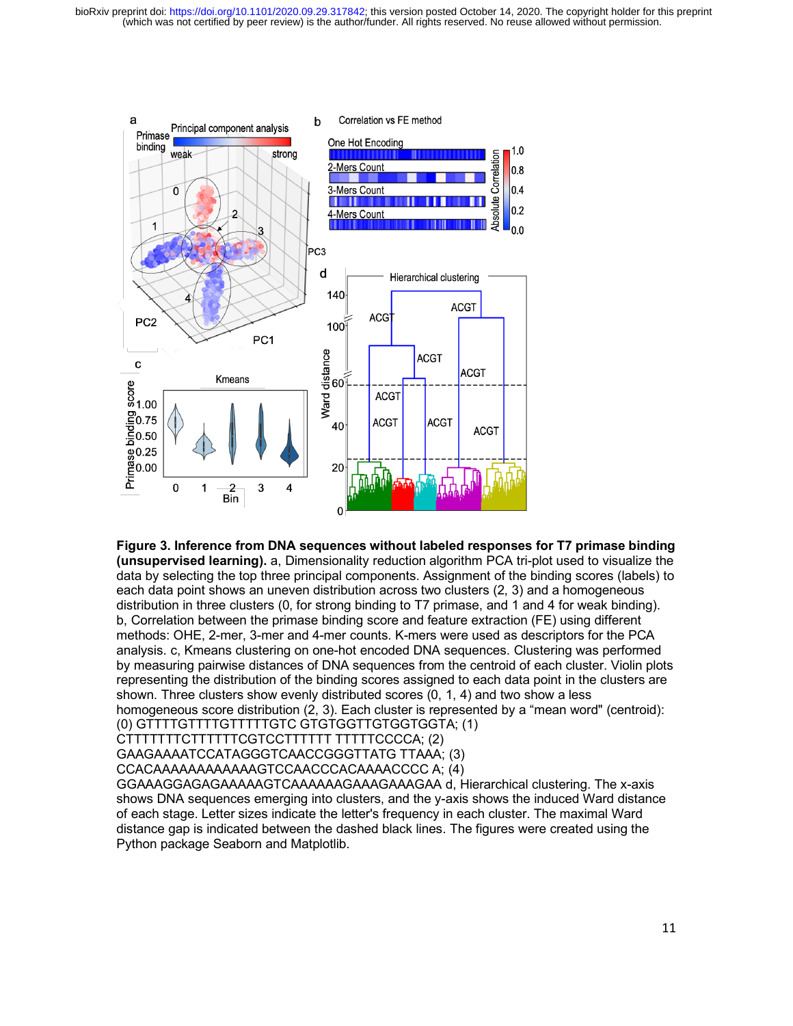

**Figure 3. Inference from DNA sequences without labeled responses for T7 primase binding (unsupervised learning).** a, Dimensionality reduction algorithm PCA tri-plot used to visualize the data by selecting the top three principal components. Assignment of the binding scores (labels) to

each data point shows an uneven distribution across two clusters (2, 3) and a homogeneous distribution in three clusters (0, for strong binding to T7 primase, and 1 and 4 for weak binding). b, Correlation between the primase binding score and feature extraction (FE) using different methods: OHE, 2-mer, 3-mer and 4-mer counts. K-mers were used as descriptors for the PCA analysis. c, Kmeans clustering on one-hot encoded DNA sequences. Clustering was performed by measuring pairwise distances of DNA sequences from the centroid of each cluster. Violin plots representing the distribution of the binding scores assigned to each data point in the clusters are shown. Three clusters show evenly distributed scores (0, 1, 4) and two show a less homogeneous score distribution (2, 3). Each cluster is represented by a "mean word" (centroid):

(0) GTTTTGTTTTGTTTTTGTC GTGTGGTTGTGGTGGTA; (1)

CTTTTTTTCTTTTTTCGTCCTTTTTT TTTTTCCCCA; (2)

GAAGAAAATCCATAGGGTCAACCGGGTTATG TTAAA; (3)

CCACAAAAAAAAAAAAGTCCAACCCACAAAACCCC A; (4)

GGAAAGGAGAGAAAAAGTCAAAAAAGAAAGAAAGAA d, Hierarchical clustering. The x-axis shows DNA sequences emerging into clusters, and the y-axis shows the induced Ward distance of each stage. Letter sizes indicate the letter's frequency in each cluster. The maximal Ward distance gap is indicated between the dashed black lines. The figures were created using the Python package Seaborn and Matplotlib.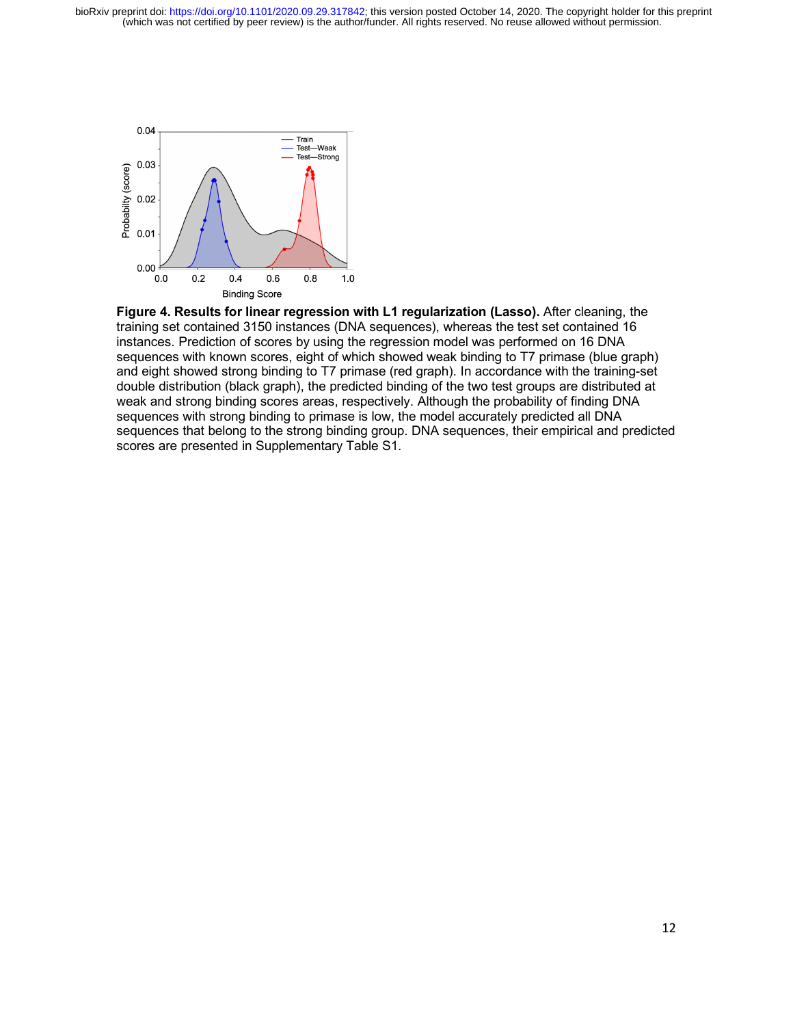

**Figure 4. Results for linear regression with L1 regularization (Lasso).** After cleaning, the training set contained 3150 instances (DNA sequences), whereas the test set contained 16 instances. Prediction of scores by using the regression model was performed on 16 DNA sequences with known scores, eight of which showed weak binding to T7 primase (blue graph) and eight showed strong binding to T7 primase (red graph). In accordance with the training-set double distribution (black graph), the predicted binding of the two test groups are distributed at weak and strong binding scores areas, respectively. Although the probability of finding DNA sequences with strong binding to primase is low, the model accurately predicted all DNA sequences that belong to the strong binding group. DNA sequences, their empirical and predicted scores are presented in Supplementary Table S1.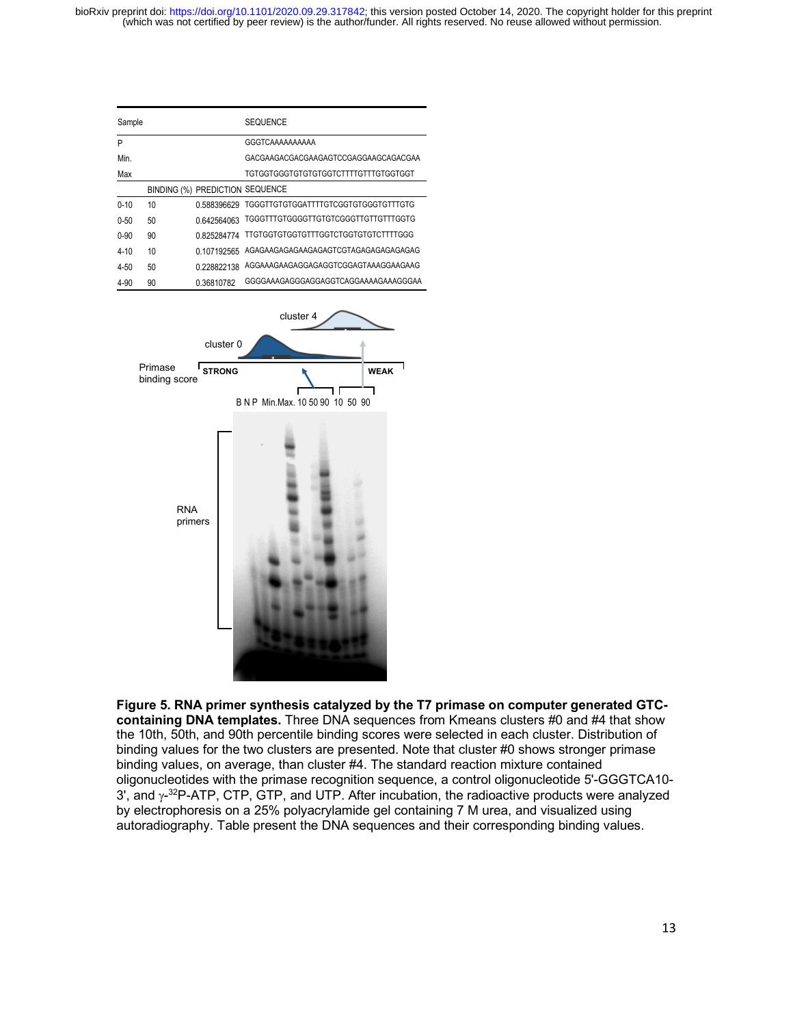

(which was not certified by peer review) is the author/funder. All rights reserved. No reuse allowed without permission. bioRxiv preprint doi: https://doi.org/10.110 **Binxting 3 COTes2**; this version posted October 14, 2020. The copyright holder for this preprint



**Figure 5. RNA primer synthesis catalyzed by the T7 primase on computer generated GTCcontaining DNA templates.** Three DNA sequences from Kmeans clusters #0 and #4 that show the 10th, 50th, and 90th percentile binding scores were selected in each cluster. Distribution of binding values for the two clusters are presented. Note that cluster #0 shows stronger primase binding values, on average, than cluster #4. The standard reaction mixture contained oligonucleotides with the primase recognition sequence, a control oligonucleotide 5'-GGGTCA10- 3', and  $\gamma$ <sup>-32</sup>P-ATP, CTP, GTP, and UTP. After incubation, the radioactive products were analyzed by electrophoresis on a 25% polyacrylamide gel containing 7 M urea, and visualized using autoradiography. Table present the DNA sequences and their corresponding binding values.